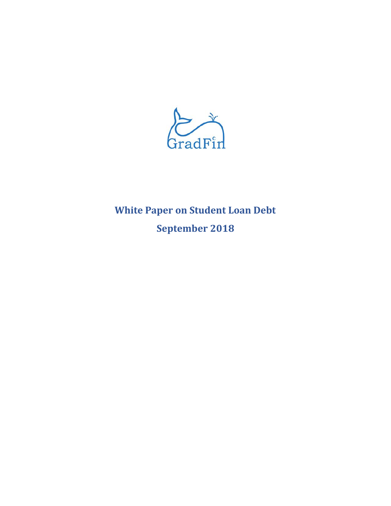

# **White Paper on Student Loan Debt September 2018**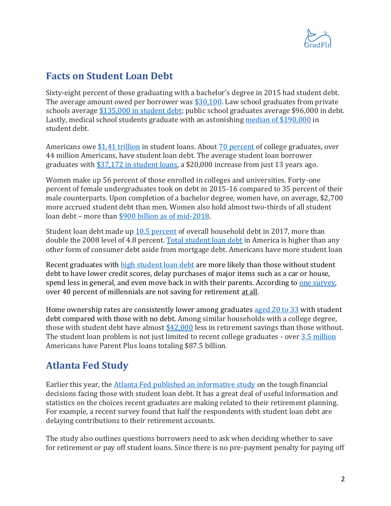

#### **Facts on Student Loan Debt**

Sixty-eight percent of those graduating with a bachelor's degree in 2015 had student debt. The average amount owed per borrower was [\\$30,100.](https://www.usatoday.com/story/money/personalfinance/2017/04/28/average-student-loan-debt-every-state/100893668/) Law school graduates from private schools average \$135,000 [in student debt;](http://www.abajournal.com/news/article/make_law_school_borrowing_data_public_and_include_it_with_admissions_offers) public school graduates average \$96,000 in debt. Lastly, medical school students graduate with an astonishing median [of \\$190,000](https://www.washingtonpost.com/news/grade-point/wp/2018/01/31/med-school-doesnt-have-to-lead-to-crushing-debt/?utm_term=.a823ddbc42f8) in student debt.

Americans owe [\\$1.41 trillion](https://www.newyorkfed.org/newsevents/news/research/2018/rp180517) in student loans. About [70 percent](https://www.cnbc.com/2017/07/03/this-is-the-age-most-americans-pay-off-their-student-loans.html) of college graduates, over 44 million Americans, have student loan debt. The average student loan borrower graduates with [\\$37,172 in student loans,](https://www.cnbc.com/2018/02/15/heres-how-much-the-average-student-loan-borrower-owes-when-they-graduate.html) a \$20,000 increase from just 13 years ago.

Women make up 56 percent of those enrolled in colleges and universities. Forty-one percent of female undergraduates took on debt in 2015-16 compared to 35 percent of their male counterparts. Upon completion of a bachelor degree, women have, on average, \$2,700 more accrued student debt than men. Women also hold almost two-thirds of all student loan debt – more than [\\$900 billion as of mid-2018.](https://www.aauw.org/research/deeper-in-debt/)

Student loan debt made up [10.5 percent](https://www2.deloitte.com/insights/us/en/economy/behind-the-numbers/return-of-consumer-debt-rising-interest-rates.html) of overall household debt in 2017, more than double the 2008 level of 4.8 percent. [Total student loan debt](https://www.frbatlanta.org/economy-matters/economic-research/2018/01/26/student-loan-borrowers-face-tough-choices) in America is higher than any other form of consumer debt aside from mortgage debt. Americans have more student loan

Recent graduates with [high student loan debt](https://www.federalreserve.gov/econres/notes/feds-notes/student-loan-debt-and-aggregate-consumption-growth-20180221.htm) are more likely than those without student debt to have lower credit scores, delay purchases of major items such as a car or house, spend less in general, and even move back in with their parents. According t[o one survey,](https://www.frbatlanta.org/economy-matters/economic-research/2018/01/26/student-loan-borrowers-face-tough-choices) over 40 percent of millennials are not saving for retirement at all.

Home ownership rates are consistently lower among graduate[s aged 20 to 33](http://libertystreeteconomics.newyorkfed.org/2017/04/diplomas-to-doorsteps-education-student-debt-and-homeownership.html) with student debt compared with those with no debt. Among similar households with a college degree, those with student debt have almost [\\$42,000](https://csd.wustl.edu/Publications/Documents/WP13-34.pdf) less in retirement savings than those without. The student loan problem is not just limited to recent college graduates - over 3.5 [million](https://www.forbes.com/sites/zackfriedman/2018/06/13/student-loan-debt-statistics-2018/#365c51c87310) Americans have Parent Plus loans totaling \$87.5 billion.

## **Atlanta Fed Study**

Earlier this year, the [Atlanta Fed published an informative study](https://www.frbatlanta.org/economy-matters/economic-research/2018/01/26/student-loan-borrowers-face-tough-choices) on the tough financial decisions facing those with student loan debt. It has a great deal of useful information and statistics on the choices recent graduates are making related to their retirement planning. For example, a recent survey found that half the respondents with student loan debt are delaying contributions to their retirement accounts.

The study also outlines questions borrowers need to ask when deciding whether to save for retirement or pay off student loans. Since there is no pre-payment penalty for paying off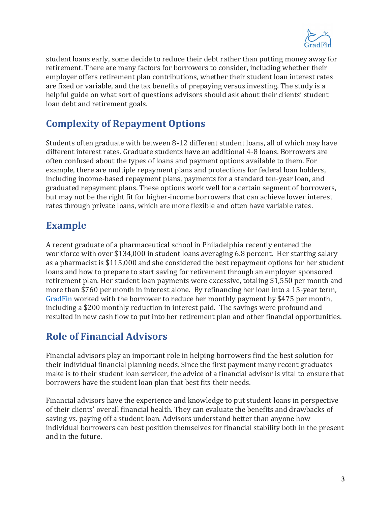

student loans early, some decide to reduce their debt rather than putting money away for retirement. There are many factors for borrowers to consider, including whether their employer offers retirement plan contributions, whether their student loan interest rates are fixed or variable, and the tax benefits of prepaying versus investing. The study is a helpful guide on what sort of questions advisors should ask about their clients' student loan debt and retirement goals.

## **Complexity of Repayment Options**

Students often graduate with between 8-12 different student loans, all of which may have different interest rates. Graduate students have an additional 4-8 loans. Borrowers are often confused about the types of loans and payment options available to them. For example, there are multiple repayment plans and protections for federal loan holders, including income-based repayment plans, payments for a standard ten-year loan, and graduated repayment plans. These options work well for a certain segment of borrowers, but may not be the right fit for higher-income borrowers that can achieve lower interest rates through private loans, which are more flexible and often have variable rates.

## **Example**

A recent graduate of a pharmaceutical school in Philadelphia recently entered the workforce with over \$134,000 in student loans averaging 6.8 percent. Her starting salary as a pharmacist is \$115,000 and she considered the best repayment options for her student loans and how to prepare to start saving for retirement through an employer sponsored retirement plan. Her student loan payments were excessive, totaling \$1,550 per month and more than \$760 per month in interest alone. By refinancing her loan into a 15-year term, [GradFin](https://www.gradfin.com/) worked with the borrower to reduce her monthly payment by \$475 per month, including a \$200 monthly reduction in interest paid. The savings were profound and resulted in new cash flow to put into her retirement plan and other financial opportunities.

## **Role of Financial Advisors**

Financial advisors play an important role in helping borrowers find the best solution for their individual financial planning needs. Since the first payment many recent graduates make is to their student loan servicer, the advice of a financial advisor is vital to ensure that borrowers have the student loan plan that best fits their needs.

Financial advisors have the experience and knowledge to put student loans in perspective of their clients' overall financial health. They can evaluate the benefits and drawbacks of saving vs. paying off a student loan. Advisors understand better than anyone how individual borrowers can best position themselves for financial stability both in the present and in the future.